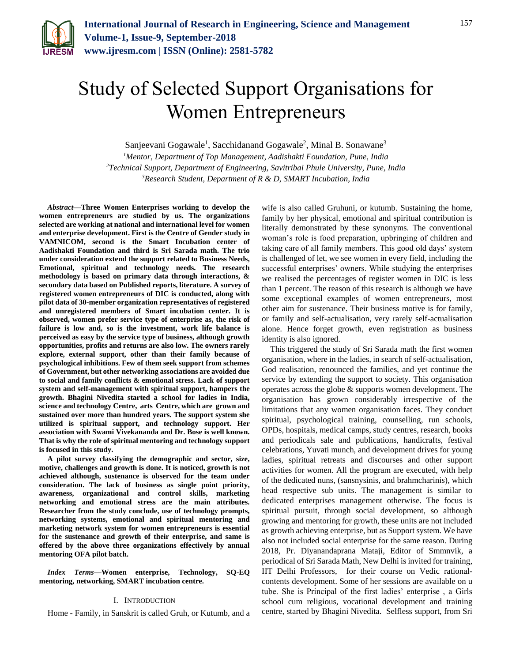

# Study of Selected Support Organisations for Women Entrepreneurs

Sanjeevani Gogawale<sup>1</sup>, Sacchidanand Gogawale<sup>2</sup>, Minal B. Sonawane<sup>3</sup>

*<sup>1</sup>Mentor, Department of Top Management, Aadishakti Foundation, Pune, India <sup>2</sup>Technical Support, Department of Engineering, Savitribai Phule University, Pune, India 3Research Student, Department of R & D, SMART Incubation, India*

*Abstract***—Three Women Enterprises working to develop the women entrepreneurs are studied by us. The organizations selected are working at national and international level for women and enterprise development. First is the Centre of Gender study in VAMNICOM, second is the Smart Incubation center of Aadishakti Foundation and third is Sri Sarada math. The trio under consideration extend the support related to Business Needs, Emotional, spiritual and technology needs. The research methodology is based on primary data through interactions, & secondary data based on Published reports, literature. A survey of registered women entrepreneurs of DIC is conducted, along with pilot data of 30-member organization representatives of registered and unregistered members of Smart incubation center. It is observed, women prefer service type of enterprise as, the risk of failure is low and, so is the investment, work life balance is perceived as easy by the service type of business, although growth opportunities, profits and returns are also low. The owners rarely explore, external support, other than their family because of psychological inhibitions. Few of them seek support from schemes of Government, but other networking associations are avoided due to social and family conflicts & emotional stress. Lack of support system and self-management with spiritual support, hampers the growth. Bhagini Nivedita started a school for ladies in India, science and technology Centre, arts Centre, which are grown and sustained over more than hundred years. The support system she utilized is spiritual support, and technology support. Her association with Swami Vivekananda and Dr. Bose is well known. That is why the role of spiritual mentoring and technology support is focused in this study.**

**A pilot survey classifying the demographic and sector, size, motive, challenges and growth is done. It is noticed, growth is not achieved although, sustenance is observed for the team under consideration. The lack of business as single point priority, awareness, organizational and control skills, marketing networking and emotional stress are the main attributes. Researcher from the study conclude, use of technology prompts, networking systems, emotional and spiritual mentoring and marketing network system for women entrepreneurs is essential for the sustenance and growth of their enterprise, and same is offered by the above three organizations effectively by annual mentoring OFA pilot batch.**

*Index Terms***—Women enterprise, Technology, SQ-EQ mentoring, networking, SMART incubation centre.**

### I. INTRODUCTION

Home - Family, in Sanskrit is called Gruh, or Kutumb, and a

wife is also called Gruhuni, or kutumb. Sustaining the home, family by her physical, emotional and spiritual contribution is literally demonstrated by these synonyms. The conventional woman's role is food preparation, upbringing of children and taking care of all family members. This good old days' system is challenged of let, we see women in every field, including the successful enterprises' owners. While studying the enterprises we realised the percentages of register women in DIC is less than 1 percent. The reason of this research is although we have some exceptional examples of women entrepreneurs, most other aim for sustenance. Their business motive is for family, or family and self-actualisation, very rarely self-actualisation alone. Hence forget growth, even registration as business identity is also ignored.

This triggered the study of Sri Sarada math the first women organisation, where in the ladies, in search of self-actualisation, God realisation, renounced the families, and yet continue the service by extending the support to society. This organisation operates across the globe & supports women development. The organisation has grown considerably irrespective of the limitations that any women organisation faces. They conduct spiritual, psychological training, counselling, run schools, OPDs, hospitals, medical camps, study centres, research, books and periodicals sale and publications, handicrafts, festival celebrations, Yuvati munch, and development drives for young ladies, spiritual retreats and discourses and other support activities for women. All the program are executed, with help of the dedicated nuns, (sansnysinis, and brahmcharinis), which head respective sub units. The management is similar to dedicated enterprises management otherwise. The focus is spiritual pursuit, through social development, so although growing and mentoring for growth, these units are not included as growth achieving enterprise, but as Support system. We have also not included social enterprise for the same reason. During 2018, Pr. Diyanandaprana Mataji, Editor of Smmnvik, a periodical of Sri Sarada Math, New Delhi is invited for training, IIT Delhi Professors, for their course on Vedic rationalcontents development. Some of her sessions are available on u tube. She is Principal of the first ladies' enterprise , a Girls school cum religious, vocational development and training centre, started by Bhagini Nivedita. Selfless support, from Sri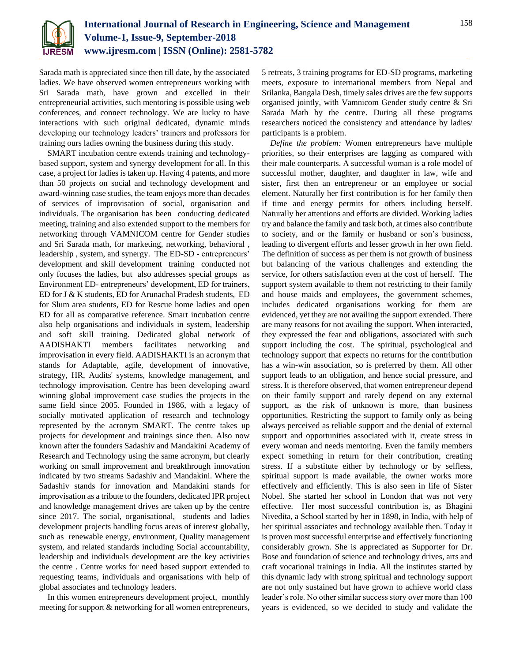

Sarada math is appreciated since then till date, by the associated ladies. We have observed women entrepreneurs working with Sri Sarada math, have grown and excelled in their entrepreneurial activities, such mentoring is possible using web conferences, and connect technology. We are lucky to have interactions with such original dedicated, dynamic minds developing our technology leaders' trainers and professors for training ours ladies owning the business during this study.

SMART incubation centre extends training and technologybased support, system and synergy development for all. In this case, a project for ladies is taken up. Having 4 patents, and more than 50 projects on social and technology development and award-winning case studies, the team enjoys more than decades of services of improvisation of social, organisation and individuals. The organisation has been conducting dedicated meeting, training and also extended support to the members for networking through VAMNICOM centre for Gender studies and Sri Sarada math, for marketing, networking, behavioral , leadership , system, and synergy. The ED-SD - entrepreneurs' development and skill development training conducted not only focuses the ladies, but also addresses special groups as Environment ED- entrepreneurs' development, ED for trainers, ED for J & K students, ED for Arunachal Pradesh students, ED for Slum area students, ED for Rescue home ladies and open ED for all as comparative reference. Smart incubation centre also help organisations and individuals in system, leadership and soft skill training. Dedicated global network of AADISHAKTI members facilitates networking and improvisation in every field. AADISHAKTI is an acronym that stands for Adaptable, agile, development of innovative, strategy, HR, Audits' systems, knowledge management, and technology improvisation. Centre has been developing award winning global improvement case studies the projects in the same field since 2005. Founded in 1986, with a legacy of socially motivated application of research and technology represented by the acronym SMART. The centre takes up projects for development and trainings since then. Also now known after the founders Sadashiv and Mandakini Academy of Research and Technology using the same acronym, but clearly working on small improvement and breakthrough innovation indicated by two streams Sadashiv and Mandakini. Where the Sadashiv stands for innovation and Mandakini stands for improvisation as a tribute to the founders, dedicated IPR project and knowledge management drives are taken up by the centre since 2017. The social, organisational, students and ladies development projects handling focus areas of interest globally, such as renewable energy, environment, Quality management system, and related standards including Social accountability, leadership and individuals development are the key activities the centre . Centre works for need based support extended to requesting teams, individuals and organisations with help of global associates and technology leaders.

In this women entrepreneurs development project, monthly meeting for support & networking for all women entrepreneurs, 5 retreats, 3 training programs for ED-SD programs, marketing meets, exposure to international members from Nepal and Srilanka, Bangala Desh, timely sales drives are the few supports organised jointly, with Vamnicom Gender study centre & Sri Sarada Math by the centre. During all these programs researchers noticed the consistency and attendance by ladies/ participants is a problem.

*Define the problem:* Women entrepreneurs have multiple priorities, so their enterprises are lagging as compared with their male counterparts. A successful woman is a role model of successful mother, daughter, and daughter in law, wife and sister, first then an entrepreneur or an employee or social element. Naturally her first contribution is for her family then if time and energy permits for others including herself. Naturally her attentions and efforts are divided. Working ladies try and balance the family and task both, at times also contribute to society, and or the family or husband or son's business, leading to divergent efforts and lesser growth in her own field. The definition of success as per them is not growth of business but balancing of the various challenges and extending the service, for others satisfaction even at the cost of herself. The support system available to them not restricting to their family and house maids and employees, the government schemes, includes dedicated organisations working for them are evidenced, yet they are not availing the support extended. There are many reasons for not availing the support. When interacted, they expressed the fear and obligations, associated with such support including the cost. The spiritual, psychological and technology support that expects no returns for the contribution has a win-win association, so is preferred by them. All other support leads to an obligation, and hence social pressure, and stress. It is therefore observed, that women entrepreneur depend on their family support and rarely depend on any external support, as the risk of unknown is more, than business opportunities. Restricting the support to family only as being always perceived as reliable support and the denial of external support and opportunities associated with it, create stress in every woman and needs mentoring. Even the family members expect something in return for their contribution, creating stress. If a substitute either by technology or by selfless, spiritual support is made available, the owner works more effectively and efficiently. This is also seen in life of Sister Nobel. She started her school in London that was not very effective. Her most successful contribution is, as Bhagini Nivedita, a School started by her in 1898, in India, with help of her spiritual associates and technology available then. Today it is proven most successful enterprise and effectively functioning considerably grown. She is appreciated as Supporter for Dr. Bose and foundation of science and technology drives, arts and craft vocational trainings in India. All the institutes started by this dynamic lady with strong spiritual and technology support are not only sustained but have grown to achieve world class leader's role. No other similar success story over more than 100 years is evidenced, so we decided to study and validate the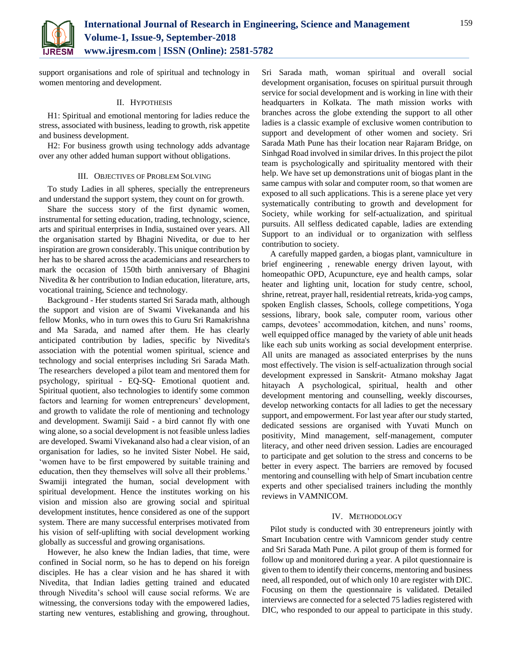

support organisations and role of spiritual and technology in women mentoring and development.

## II. HYPOTHESIS

H1: Spiritual and emotional mentoring for ladies reduce the stress, associated with business, leading to growth, risk appetite and business development.

H2: For business growth using technology adds advantage over any other added human support without obligations.

## III. OBJECTIVES OF PROBLEM SOLVING

To study Ladies in all spheres, specially the entrepreneurs and understand the support system, they count on for growth.

Share the success story of the first dynamic women, instrumental for setting education, trading, technology, science, arts and spiritual enterprises in India, sustained over years. All the organisation started by Bhagini Nivedita, or due to her inspiration are grown considerably. This unique contribution by her has to be shared across the academicians and researchers to mark the occasion of 150th birth anniversary of Bhagini Nivedita & her contribution to Indian education, literature, arts, vocational training, Science and technology.

Background - Her students started Sri Sarada math, although the support and vision are of Swami Vivekananda and his fellow Monks, who in turn owes this to Guru Sri Ramakrishna and Ma Sarada, and named after them. He has clearly anticipated contribution by ladies, specific by Nivedita's association with the potential women spiritual, science and technology and social enterprises including Sri Sarada Math. The researchers developed a pilot team and mentored them for psychology, spiritual - EQ-SQ- Emotional quotient and. Spiritual quotient, also technologies to identify some common factors and learning for women entrepreneurs' development, and growth to validate the role of mentioning and technology and development. Swamiji Said - a bird cannot fly with one wing alone, so a social development is not feasible unless ladies are developed. Swami Vivekanand also had a clear vision, of an organisation for ladies, so he invited Sister Nobel. He said, 'women have to be first empowered by suitable training and education, then they themselves will solve all their problems.' Swamiji integrated the human, social development with spiritual development. Hence the institutes working on his vision and mission also are growing social and spiritual development institutes, hence considered as one of the support system. There are many successful enterprises motivated from his vision of self-uplifting with social development working globally as successful and growing organisations.

However, he also knew the Indian ladies, that time, were confined in Social norm, so he has to depend on his foreign disciples. He has a clear vision and he has shared it with Nivedita, that Indian ladies getting trained and educated through Nivedita's school will cause social reforms. We are witnessing, the conversions today with the empowered ladies, starting new ventures, establishing and growing, throughout.

Sri Sarada math, woman spiritual and overall social development organisation, focuses on spiritual pursuit through service for social development and is working in line with their headquarters in Kolkata. The math mission works with branches across the globe extending the support to all other ladies is a classic example of exclusive women contribution to support and development of other women and society. Sri Sarada Math Pune has their location near Rajaram Bridge, on Sinhgad Road involved in similar drives. In this project the pilot team is psychologically and spirituality mentored with their help. We have set up demonstrations unit of biogas plant in the same campus with solar and computer room, so that women are exposed to all such applications. This is a serene place yet very systematically contributing to growth and development for Society, while working for self-actualization, and spiritual pursuits. All selfless dedicated capable, ladies are extending Support to an individual or to organization with selfless contribution to society.

A carefully mapped garden, a biogas plant, vamniculture in brief engineering , renewable energy driven layout, with homeopathic OPD, Acupuncture, eye and health camps, solar heater and lighting unit, location for study centre, school, shrine, retreat, prayer hall, residential retreats, krida-yog camps, spoken English classes, Schools, college competitions, Yoga sessions, library, book sale, computer room, various other camps, devotees' accommodation, kitchen, and nuns' rooms, well equipped office managed by the variety of able unit heads like each sub units working as social development enterprise. All units are managed as associated enterprises by the nuns most effectively. The vision is self-actualization through social development expressed in Sanskrit- Atmano mokshay Jagat hitayach A psychological, spiritual, health and other development mentoring and counselling, weekly discourses, develop networking contacts for all ladies to get the necessary support, and empowerment. For last year after our study started, dedicated sessions are organised with Yuvati Munch on positivity, Mind management, self-management, computer literacy, and other need driven session. Ladies are encouraged to participate and get solution to the stress and concerns to be better in every aspect. The barriers are removed by focused mentoring and counselling with help of Smart incubation centre experts and other specialised trainers including the monthly reviews in VAMNICOM.

## IV. METHODOLOGY

Pilot study is conducted with 30 entrepreneurs jointly with Smart Incubation centre with Vamnicom gender study centre and Sri Sarada Math Pune. A pilot group of them is formed for follow up and monitored during a year. A pilot questionnaire is given to them to identify their concerns, mentoring and business need, all responded, out of which only 10 are register with DIC. Focusing on them the questionnaire is validated. Detailed interviews are connected for a selected 75 ladies registered with DIC, who responded to our appeal to participate in this study.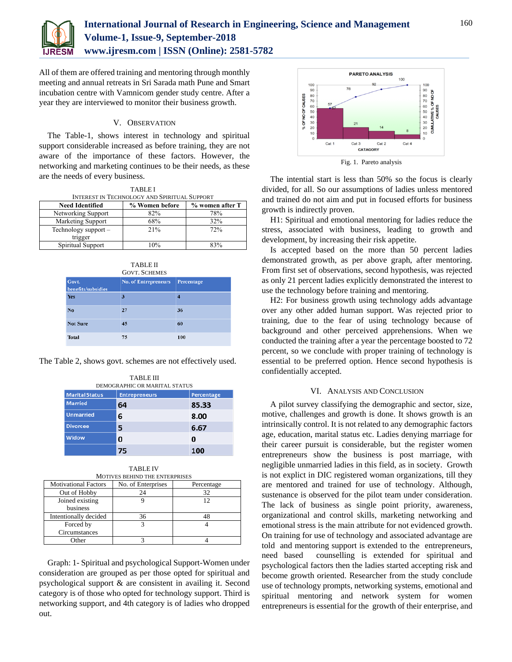

# **International Journal of Research in Engineering, Science and Management Volume-1, Issue-9, September-2018 www.ijresm.com | ISSN (Online): 2581-5782**

All of them are offered training and mentoring through monthly meeting and annual retreats in Sri Sarada math Pune and Smart incubation centre with Vamnicom gender study centre. After a year they are interviewed to monitor their business growth.

## V. OBSERVATION

The Table-1, shows interest in technology and spiritual support considerable increased as before training, they are not aware of the importance of these factors. However, the networking and marketing continues to be their needs, as these are the needs of every business.

TABLE I INTEREST IN TECHNOLOGY AND SPIRITUAL SUPPORT

| <b>Need Identified</b> | % Women before | % women after T |
|------------------------|----------------|-----------------|
| Networking Support     | 82%            | 78%             |
| Marketing Support      | 68%            | 32%             |
| Technology support -   | 21%            | 72%             |
| trigger                |                |                 |
| Spiritual Support      | 10%            | 83%             |

TABLE II GOVT. SCHEMES

| Govt.<br>benefits/subsidies | <b>No. of Entrepreneurs</b> | Percentage |
|-----------------------------|-----------------------------|------------|
| <b>Yes</b>                  | 3                           |            |
| No                          | 27                          | 36         |
| <b>Not Sure</b>             | 45                          | 60         |
| <b>Total</b>                | 75                          | 100        |

The Table 2, shows govt. schemes are not effectively used.

|                       | <b>TABLE III</b><br>DEMOGRAPHIC OR MARITAL STATUS |            |
|-----------------------|---------------------------------------------------|------------|
| <b>Marital Status</b> | <b>Entrepreneurs</b>                              | Percentage |
| <b>Married</b>        | 64                                                | 85.33      |
| <b>Unmarried</b>      | 6                                                 | 8.00       |
| <b>Divorcee</b>       | 5                                                 | 6.67       |
| Widow                 | 0                                                 | 0          |
|                       | 75                                                | 100        |

TABLE IV MOTIVES BEHIND THE ENTERPRISES

| <b>Motivational Factors</b> | No. of Enterprises | Percentage |  |  |
|-----------------------------|--------------------|------------|--|--|
| Out of Hobby                |                    |            |  |  |
| Joined existing             |                    |            |  |  |
| business                    |                    |            |  |  |
| Intentionally decided       | 36                 |            |  |  |
| Forced by                   |                    |            |  |  |
| Circumstances               |                    |            |  |  |
| <b>u</b> her                |                    |            |  |  |

Graph: 1- Spiritual and psychological Support-Women under consideration are grouped as per those opted for spiritual and psychological support & are consistent in availing it. Second category is of those who opted for technology support. Third is networking support, and 4th category is of ladies who dropped out.



The intential start is less than 50% so the focus is clearly divided, for all. So our assumptions of ladies unless mentored and trained do not aim and put in focused efforts for business growth is indirectly proven.

H1: Spiritual and emotional mentoring for ladies reduce the stress, associated with business, leading to growth and development, by increasing their risk appetite.

Is accepted based on the more than 50 percent ladies demonstrated growth, as per above graph, after mentoring. From first set of observations, second hypothesis, was rejected as only 21 percent ladies explicitly demonstrated the interest to use the technology before training and mentoring.

H2: For business growth using technology adds advantage over any other added human support. Was rejected prior to training, due to the fear of using technology because of background and other perceived apprehensions. When we conducted the training after a year the percentage boosted to 72 percent, so we conclude with proper training of technology is essential to be preferred option. Hence second hypothesis is confidentially accepted.

## VI. ANALYSIS AND CONCLUSION

A pilot survey classifying the demographic and sector, size, motive, challenges and growth is done. It shows growth is an intrinsically control. It is not related to any demographic factors age, education, marital status etc. Ladies denying marriage for their career pursuit is considerable, but the register women entrepreneurs show the business is post marriage, with negligible unmarried ladies in this field, as in society. Growth is not explict in DIC registered woman organizations, till they are mentored and trained for use of technology. Although, sustenance is observed for the pilot team under consideration. The lack of business as single point priority, awareness, organizational and control skills, marketing networking and emotional stress is the main attribute for not evidenced growth. On training for use of technology and associated advantage are told and mentoring support is extended to the entrepreneurs, need based counselling is extended for spiritual and psychological factors then the ladies started accepting risk and become growth oriented. Researcher from the study conclude use of technology prompts, networking systems, emotional and spiritual mentoring and network system for women entrepreneurs is essential for the growth of their enterprise, and